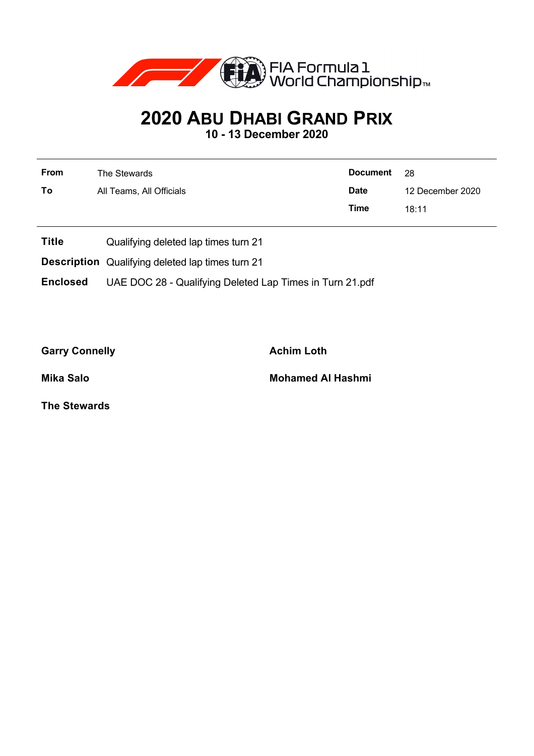

## **2020 ABU DHABI GRAND PRIX**

**10 - 13 December 2020**

| The Stewards             | <b>Document</b> | - 28             |
|--------------------------|-----------------|------------------|
| All Teams, All Officials | <b>Date</b>     | 12 December 2020 |
|                          | Time            | 18:11            |
|                          |                 |                  |

- **Title** Qualifying deleted lap times turn 21
- **Description** Qualifying deleted lap times turn 21

**Enclosed** UAE DOC 28 - Qualifying Deleted Lap Times in Turn 21.pdf

Garry Connelly **Achim Loth** 

**Mika Salo Mohamed Al Hashmi**

**The Stewards**